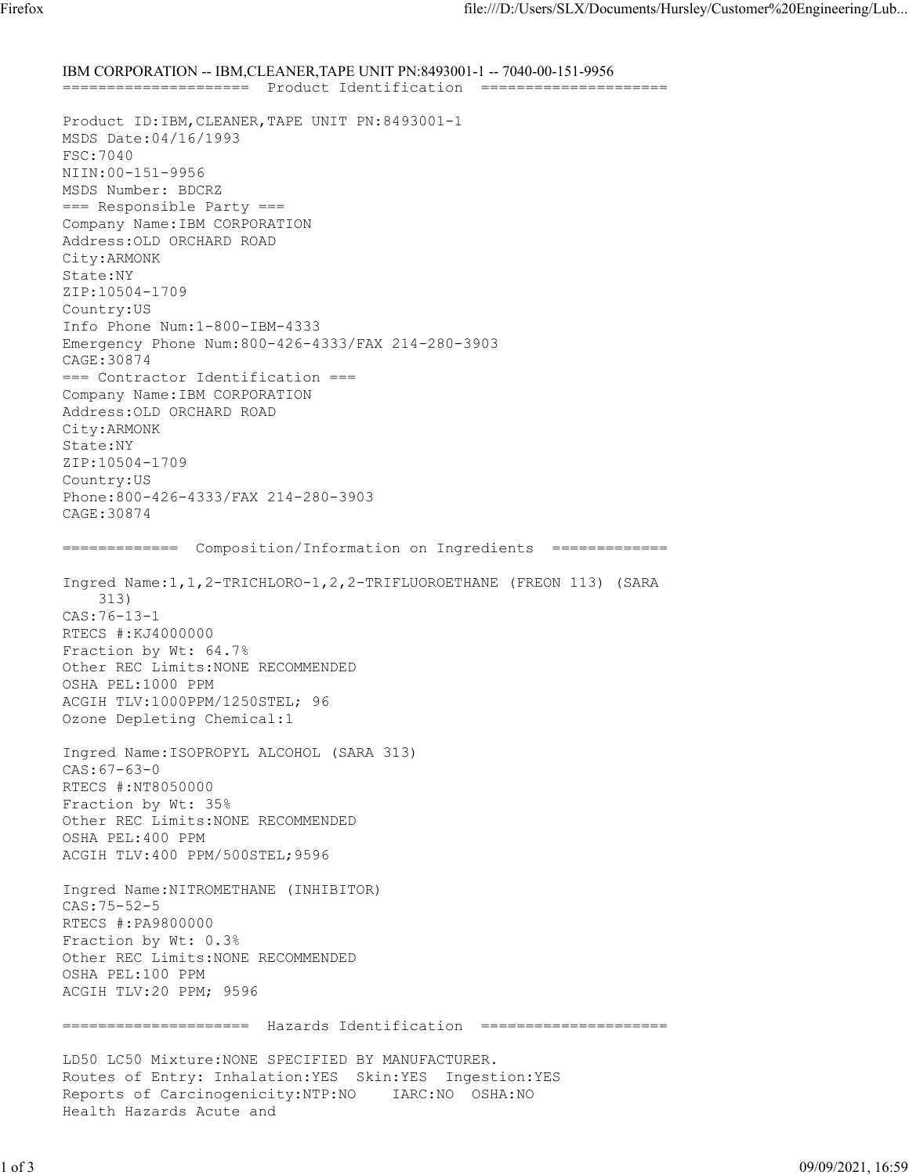IBM CORPORATION -- IBM,CLEANER,TAPE UNIT PN:8493001-1 -- 7040-00-151-9956 ===================== Product Identification ===================== Product ID:IBM,CLEANER,TAPE UNIT PN:8493001-1 MSDS Date:04/16/1993 FSC:7040 NIIN:00-151-9956 MSDS Number: BDCRZ === Responsible Party === Company Name:IBM CORPORATION Address:OLD ORCHARD ROAD City:ARMONK State:NY ZIP:10504-1709 Country:US Info Phone Num:1-800-IBM-4333 Emergency Phone Num:800-426-4333/FAX 214-280-3903 CAGE:30874 === Contractor Identification === Company Name:IBM CORPORATION Address:OLD ORCHARD ROAD City:ARMONK State:NY ZIP:10504-1709 Country:US Phone:800-426-4333/FAX 214-280-3903 CAGE:30874 ============= Composition/Information on Ingredients ============= Ingred Name:1,1,2-TRICHLORO-1,2,2-TRIFLUOROETHANE (FREON 113) (SARA 313) CAS:76-13-1 RTECS #:KJ4000000 Fraction by Wt: 64.7% Other REC Limits:NONE RECOMMENDED OSHA PEL:1000 PPM ACGIH TLV:1000PPM/1250STEL; 96 Ozone Depleting Chemical:1 Ingred Name:ISOPROPYL ALCOHOL (SARA 313) CAS:67-63-0 RTECS #:NT8050000 Fraction by Wt: 35% Other REC Limits:NONE RECOMMENDED OSHA PEL:400 PPM ACGIH TLV:400 PPM/500STEL;9596 Ingred Name:NITROMETHANE (INHIBITOR) CAS:75-52-5 RTECS #:PA9800000 Fraction by Wt: 0.3% Other REC Limits:NONE RECOMMENDED OSHA PEL:100 PPM ACGIH TLV:20 PPM; 9596 ===================== Hazards Identification ===================== LD50 LC50 Mixture:NONE SPECIFIED BY MANUFACTURER. Routes of Entry: Inhalation:YES Skin:YES Ingestion:YES Reports of Carcinogenicity:NTP:NO IARC:NO OSHA:NO Health Hazards Acute and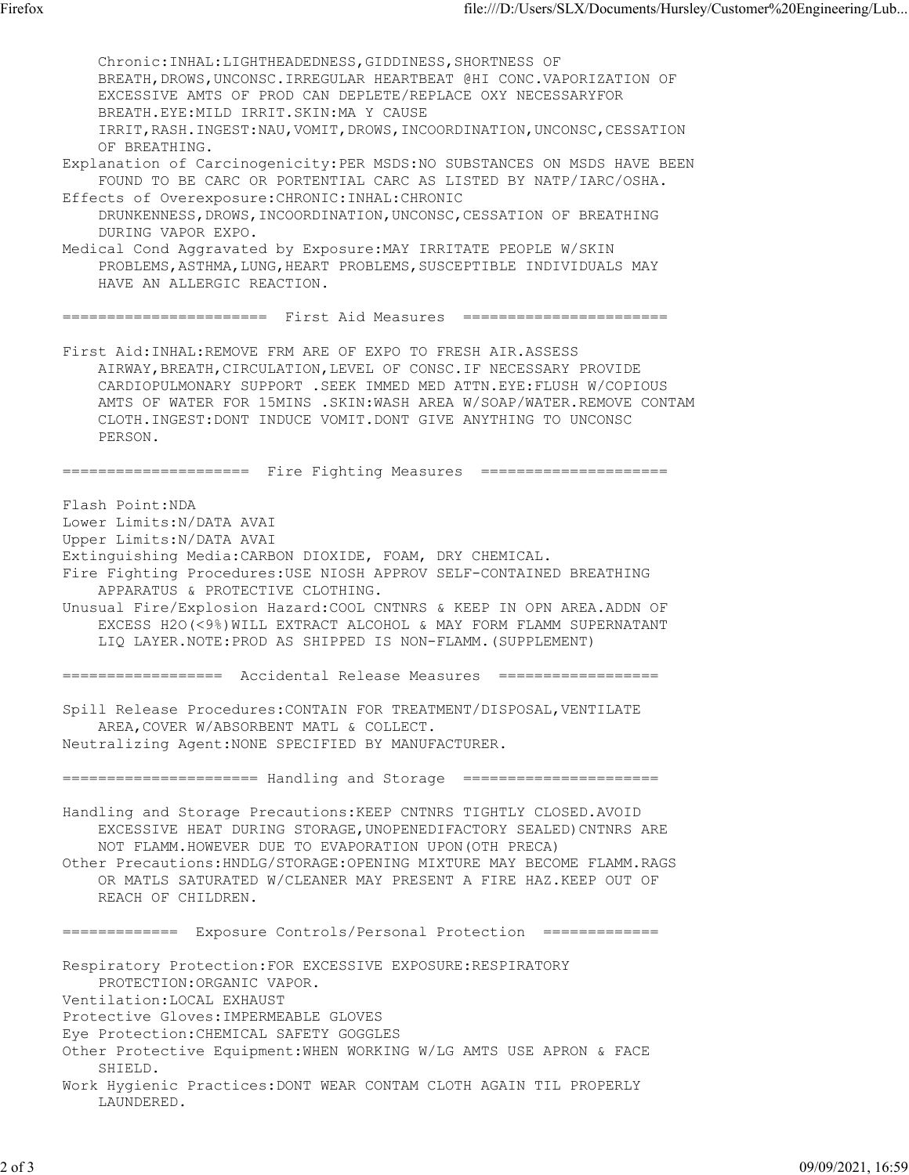Chronic:INHAL:LIGHTHEADEDNESS,GIDDINESS,SHORTNESS OF BREATH, DROWS, UNCONSC. IRREGULAR HEARTBEAT @HI CONC. VAPORIZATION OF EXCESSIVE AMTS OF PROD CAN DEPLETE/REPLACE OXY NECESSARYFOR BREATH.EYE:MILD IRRIT.SKIN:MA Y CAUSE IRRIT,RASH.INGEST:NAU,VOMIT,DROWS,INCOORDINATION,UNCONSC,CESSATION OF BREATHING. Explanation of Carcinogenicity:PER MSDS:NO SUBSTANCES ON MSDS HAVE BEEN FOUND TO BE CARC OR PORTENTIAL CARC AS LISTED BY NATP/IARC/OSHA. Effects of Overexposure:CHRONIC:INHAL:CHRONIC DRUNKENNESS, DROWS, INCOORDINATION, UNCONSC, CESSATION OF BREATHING DURING VAPOR EXPO. Medical Cond Aggravated by Exposure:MAY IRRITATE PEOPLE W/SKIN PROBLEMS,ASTHMA,LUNG,HEART PROBLEMS,SUSCEPTIBLE INDIVIDUALS MAY HAVE AN ALLERGIC REACTION. ======================= First Aid Measures ======================= First Aid:INHAL:REMOVE FRM ARE OF EXPO TO FRESH AIR.ASSESS AIRWAY,BREATH,CIRCULATION,LEVEL OF CONSC.IF NECESSARY PROVIDE CARDIOPULMONARY SUPPORT .SEEK IMMED MED ATTN.EYE:FLUSH W/COPIOUS AMTS OF WATER FOR 15MINS .SKIN:WASH AREA W/SOAP/WATER.REMOVE CONTAM CLOTH.INGEST:DONT INDUCE VOMIT.DONT GIVE ANYTHING TO UNCONSC PERSON. ===================== Fire Fighting Measures ===================== Flash Point:NDA Lower Limits:N/DATA AVAI Upper Limits:N/DATA AVAI Extinguishing Media:CARBON DIOXIDE, FOAM, DRY CHEMICAL. Fire Fighting Procedures:USE NIOSH APPROV SELF-CONTAINED BREATHING APPARATUS & PROTECTIVE CLOTHING. Unusual Fire/Explosion Hazard:COOL CNTNRS & KEEP IN OPN AREA.ADDN OF EXCESS H2O(<9%)WILL EXTRACT ALCOHOL & MAY FORM FLAMM SUPERNATANT LIQ LAYER.NOTE:PROD AS SHIPPED IS NON-FLAMM.(SUPPLEMENT) ================== Accidental Release Measures ================== Spill Release Procedures:CONTAIN FOR TREATMENT/DISPOSAL,VENTILATE AREA,COVER W/ABSORBENT MATL & COLLECT. Neutralizing Agent:NONE SPECIFIED BY MANUFACTURER. ====================== Handling and Storage ====================== Handling and Storage Precautions:KEEP CNTNRS TIGHTLY CLOSED.AVOID EXCESSIVE HEAT DURING STORAGE,UNOPENEDIFACTORY SEALED)CNTNRS ARE NOT FLAMM.HOWEVER DUE TO EVAPORATION UPON(OTH PRECA) Other Precautions:HNDLG/STORAGE:OPENING MIXTURE MAY BECOME FLAMM.RAGS OR MATLS SATURATED W/CLEANER MAY PRESENT A FIRE HAZ.KEEP OUT OF REACH OF CHILDREN. ============= Exposure Controls/Personal Protection ============= Respiratory Protection:FOR EXCESSIVE EXPOSURE:RESPIRATORY PROTECTION:ORGANIC VAPOR. Ventilation:LOCAL EXHAUST Protective Gloves:IMPERMEABLE GLOVES Eye Protection:CHEMICAL SAFETY GOGGLES Other Protective Equipment:WHEN WORKING W/LG AMTS USE APRON & FACE SHIELD. Work Hygienic Practices:DONT WEAR CONTAM CLOTH AGAIN TIL PROPERLY LAUNDERED.